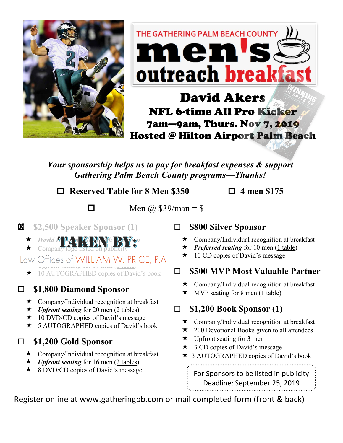

# THE GATHERING PALM BEACH COUNTY men's outreach breakfast

## David Akers NFL 6-time All Pro Kicker 7am—9am, Thurs. Nov 7, 2019 Hosted @ Hilton Airport Palm Beach

*Your sponsorship helps us to pay for breakfast expenses & support Gathering Palm Beach County programs—Thanks!*

 **Reserved Table for 8 Men \$350 4 men \$175**

 $\Box$  Men @ \$39/man = \$

- **\$2,500 Speaker Sponsor (1) X**
	- $\star$  *David H* M<sub>A</sub> *M M*<sub>M</sub> *M*<sub>M</sub> *W*<sub>M</sub>  $\star$  Company logo listed on publicity
- $C_{\text{max}}$  Offices of WILLIAM W *UPFRONT SEATING*<br> *Upper seating* for 10 them (<u>1 there</u>)
	- ★ 10 AUTOGRAPHED copies of David's book

#### **\$1,800 Diamond Sponsor**

- $\star$  Company/Individual recognition at breakfast
- $\star$  *Upfront seating* for 20 men (2 tables)
- $\star$  10 DVD/CD copies of David's message
- ★ 5 AUTOGRAPHED copies of David's book
- **\$1,200 Gold Sponsor**
	- $\star$  Company/Individual recognition at breakfast
	- $\star$  *Upfront seating* for 16 men (2 tables)
	- **★** 8 DVD/CD copies of David's message

#### **\$800 Silver Sponsor**

- $\star$  Company/Individual recognition at breakfast
- $\star$  *Preferred seating* for 10 men (1 table)
- $\star$  10 CD copies of David's message

#### **\$500 MVP Most Valuable Partner**

- **★** Company/Individual recognition at breakfast
- $\star$  MVP seating for 8 men (1 table)

### **\$1,200 Book Sponsor (1)**

- $\star$  Company/Individual recognition at breakfast
- $\star$  200 Devotional Books given to all attendees
- $\star$  Upfront seating for 3 men
- $\star$  3 CD copies of David's message
- ★ 3 AUTOGRAPHED copies of David's book

For Sponsors to be listed in publicity Deadline: September 25, 2019

Register online at www.gatheringpb.com or mail completed form (front & back)